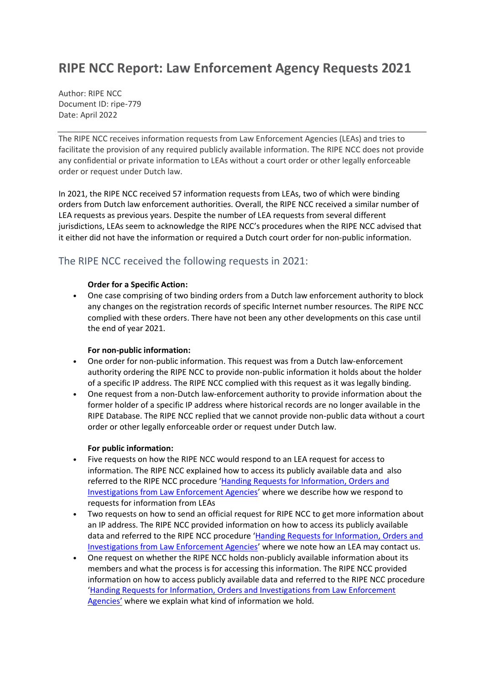# **RIPE NCC Report: Law Enforcement Agency Requests 2021**

Author: RIPE NCC Document ID: ripe-779 Date: April 2022

The RIPE NCC receives information requests from Law Enforcement Agencies (LEAs) and tries to facilitate the provision of any required publicly available information. The RIPE NCC does not provide any confidential or private information to LEAs without a court order or other legally enforceable order or request under Dutch law.

In 2021, the RIPE NCC received 57 information requests from LEAs, two of which were binding orders from Dutch law enforcement authorities. Overall, the RIPE NCC received a similar number of LEA requests as previous years. Despite the number of LEA requests from several different jurisdictions, LEAs seem to acknowledge the RIPE NCC's procedures when the RIPE NCC advised that it either did not have the information or required a Dutch court order for non-public information.

# The RIPE NCC received the following requests in 2021:

## **Order for a Specific Action:**

• One case comprising of two binding orders from a Dutch law enforcement authority to block any changes on the registration records of specific Internet number resources. The RIPE NCC complied with these orders. There have not been any other developments on this case until the end of year 2021.

### **For non-public information:**

- One order for non-public information. This request was from a Dutch law-enforcement authority ordering the RIPE NCC to provide non-public information it holds about the holder of a specific IP address. The RIPE NCC complied with this request as it was legally binding.
- One request from a non-Dutch law-enforcement authority to provide information about the former holder of a specific IP address where historical records are no longer available in the RIPE Database. The RIPE NCC replied that we cannot provide non-public data without a court order or other legally enforceable order or request under Dutch law.

## **For public information:**

- Five requests on how the RIPE NCC would respond to an LEA request for access to information. The RIPE NCC explained how to access its publicly available data and also referred to the RIPE NCC procedure 'Handing Requests for Information, Orders and [Investigations from Law Enforcement Agencies](https://www.ripe.net/publications/docs/ripe-675)' where we describe how we respond to requests for information from LEAs
- Two requests on how to send an official request for RIPE NCC to get more information about an IP address. The RIPE NCC provided information on how to access its publicly available data and referred to the RIPE NCC procedure '[Handing Requests for Information, Orders and](https://www.ripe.net/publications/docs/ripe-675)  [Investigations from Law Enforcement Agencies](https://www.ripe.net/publications/docs/ripe-675)' where we note how an LEA may contact us.
- One request on whether the RIPE NCC holds non-publicly available information about its members and what the process is for accessing this information. The RIPE NCC provided information on how to access publicly available data and referred to the RIPE NCC procedure '[Handing Requests for Information, Orders and Investigations from Law Enforcement](https://www.ripe.net/publications/docs/ripe-675)  [Agencies'](https://www.ripe.net/publications/docs/ripe-675) where we explain what kind of information we hold.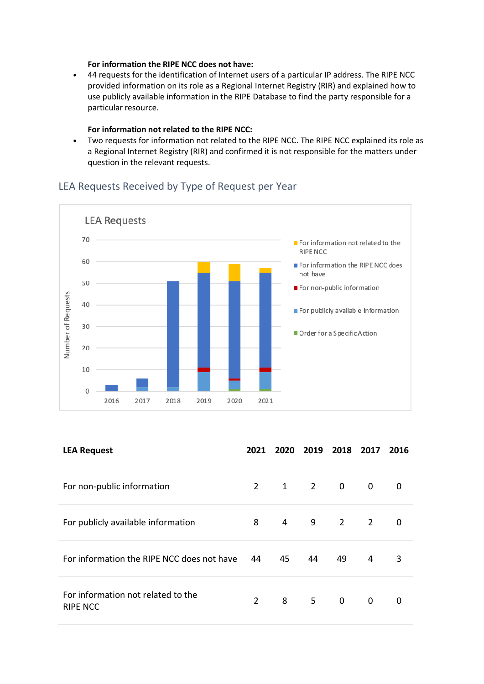#### **For information the RIPE NCC does not have:**

• 44 requests for the identification of Internet users of a particular IP address. The RIPE NCC provided information on its role as a Regional Internet Registry (RIR) and explained how to use publicly available information in the RIPE Database to find the party responsible for a particular resource.

### **For information not related to the RIPE NCC:**

• Two requests for information not related to the RIPE NCC. The RIPE NCC explained its role as a Regional Internet Registry (RIR) and confirmed it is not responsible for the matters under question in the relevant requests.

# LEA Requests Received by Type of Request per Year



| <b>LEA Request</b>                                    | 2021        |    | 2020 2019           | 2018    | 2017                    | 2016 |
|-------------------------------------------------------|-------------|----|---------------------|---------|-------------------------|------|
| For non-public information                            | $2^{\circ}$ |    | $1 \quad 2 \quad 0$ |         | $\overline{\mathbf{0}}$ | 0    |
| For publicly available information                    | 8           |    |                     | 4 9 2 2 |                         | 0    |
| For information the RIPE NCC does not have            | 44          | 45 | 44                  | 49      | $\overline{4}$          | 3    |
| For information not related to the<br><b>RIPE NCC</b> | $2^{\circ}$ |    | 8 5 0               |         | $\overline{0}$          | 0    |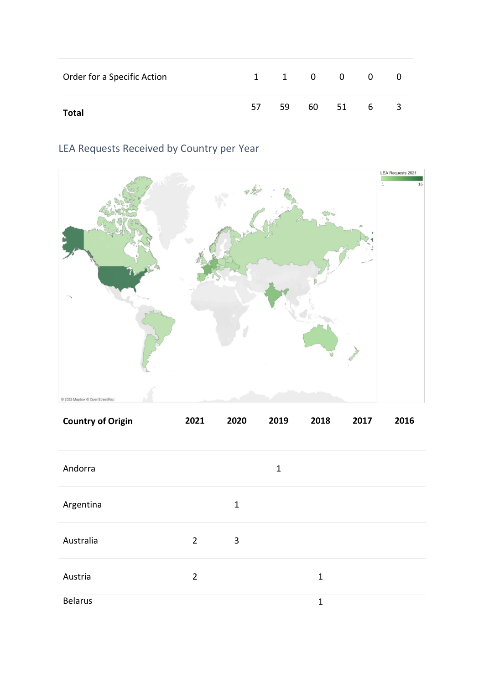| Order for a Specific Action |     |    | 1 1 0 0 0 | - 0                     |
|-----------------------------|-----|----|-----------|-------------------------|
| Total                       | -57 | 59 | 60 51 6   | $\overline{\mathbf{3}}$ |

# LEA Requests Received by Country per Year



| <b>Country of Origin</b> | 2021           | 2020         | 2019        | 2018        | 2017 | 2016 |
|--------------------------|----------------|--------------|-------------|-------------|------|------|
| Andorra                  |                |              | $\mathbf 1$ |             |      |      |
| Argentina                |                | $\mathbf{1}$ |             |             |      |      |
| Australia                | $\overline{2}$ | 3            |             |             |      |      |
| Austria                  | $\overline{2}$ |              |             | $\mathbf 1$ |      |      |
| <b>Belarus</b>           |                |              |             | $\mathbf 1$ |      |      |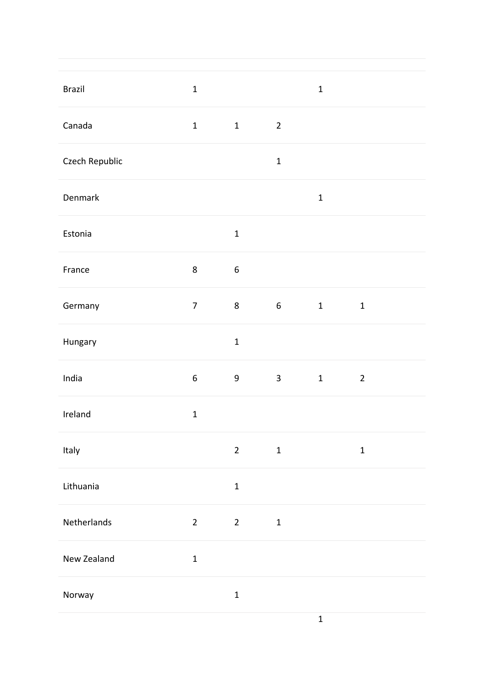| <b>Brazil</b>  | $\mathbf 1$      |                  |                 | $\mathbf 1$  |                |
|----------------|------------------|------------------|-----------------|--------------|----------------|
| Canada         | $\mathbf 1$      | $\mathbf 1$      | $\overline{2}$  |              |                |
| Czech Republic |                  |                  | $\mathbf 1$     |              |                |
| Denmark        |                  |                  |                 | $\mathbf 1$  |                |
| Estonia        |                  | $\mathbf 1$      |                 |              |                |
| France         | $\bf 8$          | $\boldsymbol{6}$ |                 |              |                |
| Germany        | $\overline{7}$   | $\,8\,$          | $6\overline{6}$ | $\mathbf{1}$ | $\mathbf 1$    |
| Hungary        |                  | $\mathbf 1$      |                 |              |                |
| India          | $\boldsymbol{6}$ | $\boldsymbol{9}$ | $\mathbf{3}$    | $\mathbf 1$  | $\overline{2}$ |
| Ireland        | $\mathbf 1$      |                  |                 |              |                |
| Italy          |                  | $\overline{2}$   | $\mathbf 1$     |              | $\mathbf 1$    |
| Lithuania      |                  | $\mathbf 1$      |                 |              |                |
| Netherlands    | $\overline{2}$   | $\overline{2}$   | $\mathbf 1$     |              |                |
| New Zealand    | $\mathbf 1$      |                  |                 |              |                |
| Norway         |                  | $\mathbf 1$      |                 |              |                |
|                |                  |                  |                 | $\mathbf 1$  |                |